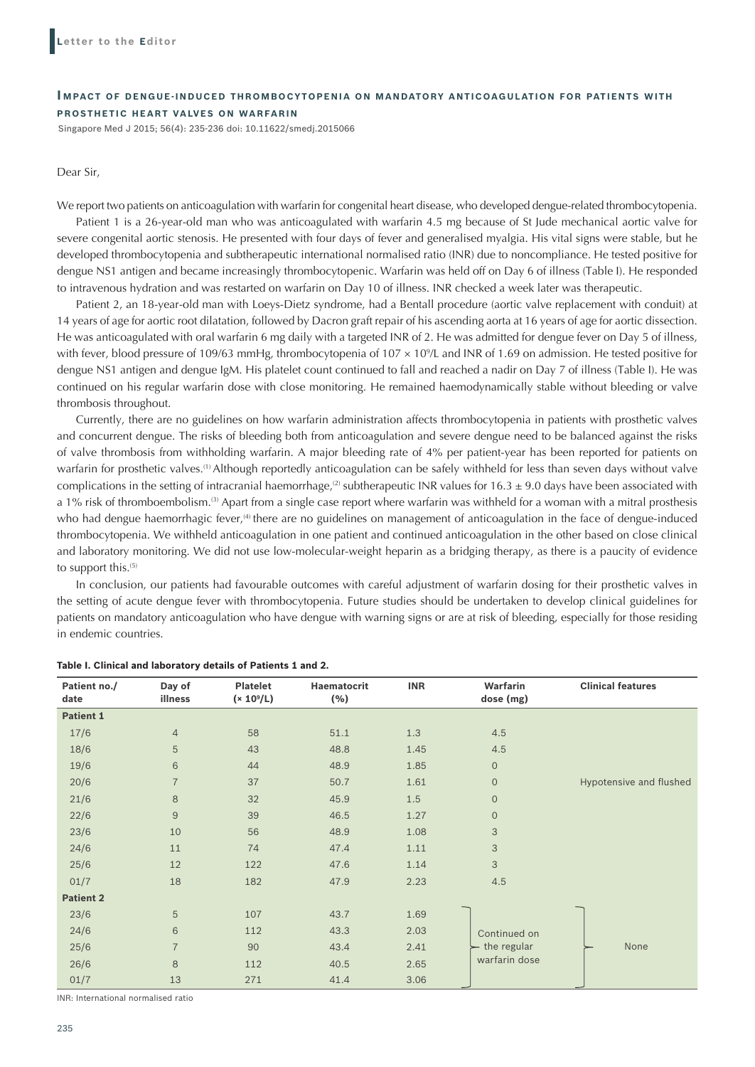### **IMPACT OF DENGUE-INDUCED THROMBOCYTOPENIA ON MANDATORY ANTICOAGULATION FOR PATIENTS WITH PROSTHETIC HEART VALVES ON WARFARIN**

Singapore Med J 2015; 56(4): 235-236 doi: 10.11622/smedj.2015066

#### Dear Sir,

We report two patients on anticoagulation with warfarin for congenital heart disease, who developed dengue-related thrombocytopenia.

Patient 1 is a 26-year-old man who was anticoagulated with warfarin 4.5 mg because of St Jude mechanical aortic valve for severe congenital aortic stenosis. He presented with four days of fever and generalised myalgia. His vital signs were stable, but he developed thrombocytopenia and subtherapeutic international normalised ratio (INR) due to noncompliance. He tested positive for dengue NS1 antigen and became increasingly thrombocytopenic. Warfarin was held off on Day 6 of illness (Table I). He responded to intravenous hydration and was restarted on warfarin on Day 10 of illness. INR checked a week later was therapeutic.

Patient 2, an 18-year-old man with Loeys-Dietz syndrome, had a Bentall procedure (aortic valve replacement with conduit) at 14 years of age for aortic root dilatation, followed by Dacron graft repair of his ascending aorta at 16 years of age for aortic dissection. He was anticoagulated with oral warfarin 6 mg daily with a targeted INR of 2. He was admitted for dengue fever on Day 5 of illness, with fever, blood pressure of 109/63 mmHg, thrombocytopenia of 107 × 109 /L and INR of 1.69 on admission. He tested positive for dengue NS1 antigen and dengue IgM. His platelet count continued to fall and reached a nadir on Day 7 of illness (Table I). He was continued on his regular warfarin dose with close monitoring. He remained haemodynamically stable without bleeding or valve thrombosis throughout.

Currently, there are no guidelines on how warfarin administration affects thrombocytopenia in patients with prosthetic valves and concurrent dengue. The risks of bleeding both from anticoagulation and severe dengue need to be balanced against the risks of valve thrombosis from withholding warfarin. A major bleeding rate of 4% per patient-year has been reported for patients on warfarin for prosthetic valves.(1) Although reportedly anticoagulation can be safely withheld for less than seven days without valve complications in the setting of intracranial haemorrhage,<sup>(2)</sup> subtherapeutic INR values for 16.3  $\pm$  9.0 days have been associated with a 1% risk of thromboembolism.(3) Apart from a single case report where warfarin was withheld for a woman with a mitral prosthesis who had dengue haemorrhagic fever,<sup>(4)</sup> there are no guidelines on management of anticoagulation in the face of dengue-induced thrombocytopenia. We withheld anticoagulation in one patient and continued anticoagulation in the other based on close clinical and laboratory monitoring. We did not use low-molecular-weight heparin as a bridging therapy, as there is a paucity of evidence to support this.<sup>(5)</sup>

In conclusion, our patients had favourable outcomes with careful adjustment of warfarin dosing for their prosthetic valves in the setting of acute dengue fever with thrombocytopenia. Future studies should be undertaken to develop clinical guidelines for patients on mandatory anticoagulation who have dengue with warning signs or are at risk of bleeding, especially for those residing in endemic countries.

| Patient no./<br>date | Day of<br>illness | <b>Platelet</b><br>$(x 10^{9}/L)$ | <b>Haematocrit</b><br>(% ) | <b>INR</b> | Warfarin<br>dose (mg) | <b>Clinical features</b> |
|----------------------|-------------------|-----------------------------------|----------------------------|------------|-----------------------|--------------------------|
| <b>Patient 1</b>     |                   |                                   |                            |            |                       |                          |
| 17/6                 | $\overline{4}$    | 58                                | 51.1                       | $1.3\,$    | 4.5                   |                          |
| 18/6                 | 5                 | 43                                | 48.8                       | 1.45       | 4.5                   |                          |
| 19/6                 | 6                 | 44                                | 48.9                       | 1.85       | $\mathbf 0$           |                          |
| 20/6                 | $\overline{7}$    | 37                                | 50.7                       | 1.61       | $\mathbf 0$           | Hypotensive and flushed  |
| 21/6                 | 8                 | 32                                | 45.9                       | 1.5        | $\overline{0}$        |                          |
| 22/6                 | 9                 | 39                                | 46.5                       | 1.27       | $\overline{0}$        |                          |
| 23/6                 | 10                | 56                                | 48.9                       | 1.08       | 3                     |                          |
| 24/6                 | 11                | 74                                | 47.4                       | 1.11       | 3                     |                          |
| 25/6                 | 12                | 122                               | 47.6                       | 1.14       | 3                     |                          |
| 01/7                 | 18                | 182                               | 47.9                       | 2.23       | 4.5                   |                          |
| <b>Patient 2</b>     |                   |                                   |                            |            |                       |                          |
| 23/6                 | 5                 | 107                               | 43.7                       | 1.69       |                       |                          |
| 24/6                 | 6                 | 112                               | 43.3                       | 2.03       | Continued on          |                          |
| 25/6                 | $\overline{7}$    | 90                                | 43.4                       | 2.41       | the regular           | None                     |
| 26/6                 | 8                 | 112                               | 40.5                       | 2.65       | warfarin dose         |                          |
| 01/7                 | 13                | 271                               | 41.4                       | 3.06       |                       |                          |

### **Table I. Clinical and laboratory details of Patients 1 and 2.**

INR: International normalised ratio